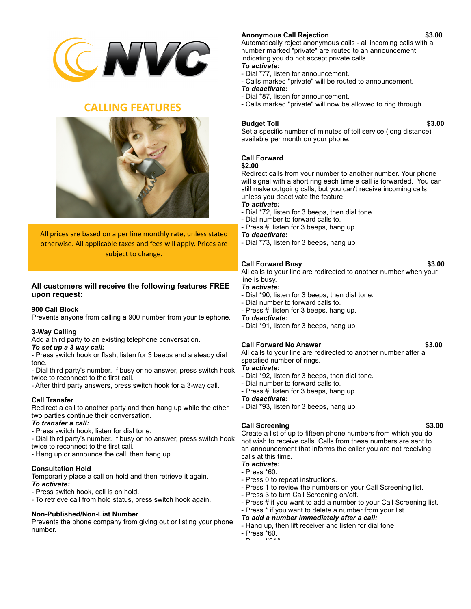

# **CALLING FEATURES**



All prices are based on a per line monthly rate, unless stated otherwise. All applicable taxes and fees will apply. Prices are subject to change.

## **All customers will receive the following features FREE upon request:**

### **900 Call Block**

Prevents anyone from calling a 900 number from your telephone.

## **3-Way Calling**

Add a third party to an existing telephone conversation.

## *To set up a 3 way call:*

- Press switch hook or flash, listen for 3 beeps and a steady dial tone.

- Dial third party's number. If busy or no answer, press switch hook twice to reconnect to the first call.
- After third party answers, press switch hook for a 3-way call.

## **Call Transfer**

Redirect a call to another party and then hang up while the other two parties continue their conversation.

## *To transfer a call:*

- Press switch hook, listen for dial tone.
- Dial third party's number. If busy or no answer, press switch hook twice to reconnect to the first call.
- Hang up or announce the call, then hang up.

### **Consultation Hold**

Temporarily place a call on hold and then retrieve it again. *To activate:*

- Press switch hook, call is on hold.

- To retrieve call from hold status, press switch hook again.

### **Non-Published/Non-List Number**

Prevents the phone company from giving out or listing your phone number.

## **Anonymous Call Rejection \$3.00**

Automatically reject anonymous calls - all incoming calls with a number marked "private" are routed to an announcement indicating you do not accept private calls. *To activate:*

- Dial \*77, listen for announcement.
- Calls marked "private" will be routed to announcement.
- *To deactivate:*
- Dial \*87, listen for announcement.
- Calls marked "private" will now be allowed to ring through.

## **Budget Toll \$3.00**

Set a specific number of minutes of toll service (long distance) available per month on your phone.

### **Call Forward**

#### **\$2.00**

Redirect calls from your number to another number. Your phone will signal with a short ring each time a call is forwarded. You can still make outgoing calls, but you can't receive incoming calls unless you deactivate the feature.

## *To activate:*

- Dial \*72, listen for 3 beeps, then dial tone.
- Dial number to forward calls to.
- Press #, listen for 3 beeps, hang up.

#### *To deactivate***:**

- Dial \*73, listen for 3 beeps, hang up.

## **Call Forward Busy 63.00**

All calls to your line are redirected to another number when your line is busy.

## *To activate:*

- Dial \*90, listen for 3 beeps, then dial tone.
- Dial number to forward calls to.
- Press #, listen for 3 beeps, hang up.
- *To deactivate:*
- Dial \*91, listen for 3 beeps, hang up.

### **Call Forward No Answer \$3.00**

All calls to your line are redirected to another number after a specified number of rings.

### *To activate:*

- Dial \*92, listen for 3 beeps, then dial tone.
- Dial number to forward calls to.
- Press #, listen for 3 beeps, hang up.

### *To deactivate:*

- Dial \*93, listen for 3 beeps, hang up.

## **Call Screening \$3.00**

Create a list of up to fifteen phone numbers from which you do not wish to receive calls. Calls from these numbers are sent to an announcement that informs the caller you are not receiving calls at this time.

#### *To activate:*  - Press \*60.

- Press 0 to repeat instructions.
- Press 1 to review the numbers on your Call Screening list.
- Press 3 to turn Call Screening on/off.
- Press # if you want to add a number to your Call Screening list.
- Press \* if you want to delete a number from your list.
- *To add a number immediately after a call:*
- Hang up, then lift receiver and listen for dial tone.
- Press \*60.  $P_{\text{max}} = 401$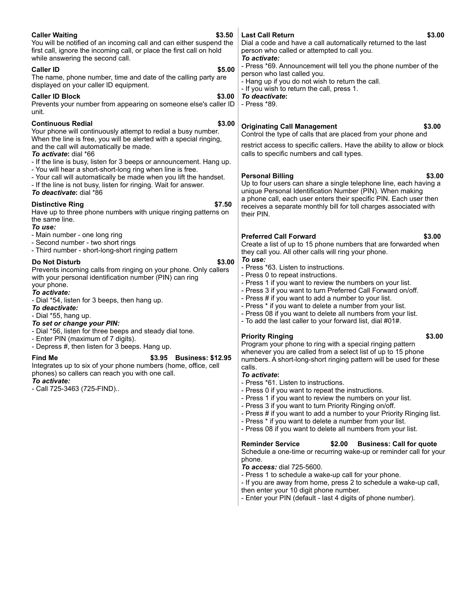| \$3.50<br><b>Caller Waiting</b><br>You will be notified of an incoming call and can either suspend the<br>first call, ignore the incoming call, or place the first call on hold<br>while answering the second call.<br><b>Caller ID</b><br>\$5.00<br>The name, phone number, time and date of the calling party are<br>displayed on your caller ID equipment.<br><b>Caller ID Block</b><br>\$3.00<br>Prevents your number from appearing on someone else's caller ID<br>unit.                                                                          | \$3.00<br><b>Last Call Return</b><br>Dial a code and have a call automatically returned to the last<br>person who called or attempted to call you.<br>To activate:<br>- Press *69. Announcement will tell you the phone number of the<br>person who last called you.<br>- Hang up if you do not wish to return the call.<br>- If you wish to return the call, press 1.<br>To deactivate:<br>- Press *89.                                                                                                                                                                                                                                                                               |
|--------------------------------------------------------------------------------------------------------------------------------------------------------------------------------------------------------------------------------------------------------------------------------------------------------------------------------------------------------------------------------------------------------------------------------------------------------------------------------------------------------------------------------------------------------|----------------------------------------------------------------------------------------------------------------------------------------------------------------------------------------------------------------------------------------------------------------------------------------------------------------------------------------------------------------------------------------------------------------------------------------------------------------------------------------------------------------------------------------------------------------------------------------------------------------------------------------------------------------------------------------|
| <b>Continuous Redial</b><br>\$3.00<br>Your phone will continuously attempt to redial a busy number.<br>When the line is free, you will be alerted with a special ringing,<br>and the call will automatically be made.<br>To activate: dial *66<br>- If the line is busy, listen for 3 beeps or announcement. Hang up.<br>- You will hear a short-short-long ring when line is free.<br>- Your call will automatically be made when you lift the handset.<br>- If the line is not busy, listen for ringing. Wait for answer.<br>To deactivate: dial *86 | <b>Originating Call Management</b><br>\$3.00<br>Control the type of calls that are placed from your phone and<br>restrict access to specific callers. Have the ability to allow or block<br>calls to specific numbers and call types.<br>\$3.00<br><b>Personal Billing</b><br>Up to four users can share a single telephone line, each having a<br>unique Personal Identification Number (PIN). When making<br>a phone call, each user enters their specific PIN. Each user then                                                                                                                                                                                                       |
| \$7.50<br><b>Distinctive Ring</b><br>Have up to three phone numbers with unique ringing patterns on<br>the same line.<br>To use:<br>- Main number - one long ring                                                                                                                                                                                                                                                                                                                                                                                      | receives a separate monthly bill for toll charges associated with<br>their PIN.<br><b>Preferred Call Forward</b><br>\$3.00                                                                                                                                                                                                                                                                                                                                                                                                                                                                                                                                                             |
| - Second number - two short rings<br>- Third number - short-long-short ringing pattern<br>\$3.00<br><b>Do Not Disturb</b><br>Prevents incoming calls from ringing on your phone. Only callers<br>with your personal identification number (PIN) can ring<br>your phone.<br>To activate:<br>- Dial *54, listen for 3 beeps, then hang up.<br>To deactivate:<br>- Dial *55, hang up.<br>To set or change your PIN:                                                                                                                                       | Create a list of up to 15 phone numbers that are forwarded when<br>they call you. All other calls will ring your phone.<br>To use:<br>- Press *63. Listen to instructions.<br>- Press 0 to repeat instructions.<br>- Press 1 if you want to review the numbers on your list.<br>- Press 3 if you want to turn Preferred Call Forward on/off.<br>- Press # if you want to add a number to your list.<br>- Press * if you want to delete a number from your list.<br>- Press 08 if you want to delete all numbers from your list.<br>- To add the last caller to your forward list, dial #01#.                                                                                           |
| - Dial *56, listen for three beeps and steady dial tone.<br>- Enter PIN (maximum of 7 digits).<br>- Depress #, then listen for 3 beeps. Hang up.<br><b>Find Me</b><br>\$3.95<br><b>Business: \$12.95</b><br>Integrates up to six of your phone numbers (home, office, cell<br>phones) so callers can reach you with one call.<br>To activate:<br>- Call 725-3463 (725-FIND)                                                                                                                                                                            | \$3.00<br><b>Priority Ringing</b><br>Program your phone to ring with a special ringing pattern<br>whenever you are called from a select list of up to 15 phone<br>numbers. A short-long-short ringing pattern will be used for these<br>calls.<br>To activate:<br>- Press *61. Listen to instructions.<br>- Press 0 if you want to repeat the instructions.<br>- Press 1 if you want to review the numbers on your list.<br>- Press 3 if you want to turn Priority Ringing on/off.<br>- Press # if you want to add a number to your Priority Ringing list.<br>- Press * if you want to delete a number from your list.<br>- Press 08 if you want to delete all numbers from your list. |
|                                                                                                                                                                                                                                                                                                                                                                                                                                                                                                                                                        | <b>Reminder Service</b><br><b>Business: Call for quote</b><br>\$2.00<br>Schedule a one-time or recurring wake-up or reminder call for your<br>phone.<br>To access: dial 725-5600.<br>- Press 1 to schedule a wake-up call for your phone.<br>- If you are away from home, press 2 to schedule a wake-up call,<br>then enter your 10 digit phone number.<br>- Enter your PIN (default - last 4 digits of phone number).                                                                                                                                                                                                                                                                 |